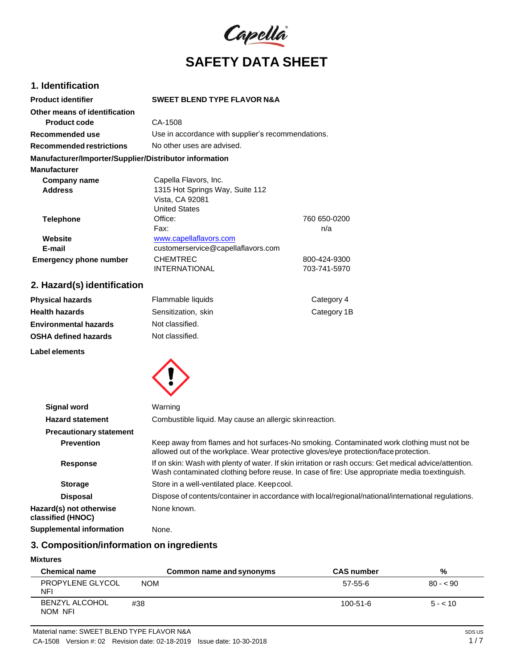

# **1. Identification**

| <b>Product identifier</b>                              | <b>SWEET BLEND TYPE FLAVOR N&amp;A</b>             |              |
|--------------------------------------------------------|----------------------------------------------------|--------------|
| Other means of identification                          |                                                    |              |
| Product code                                           | CA-1508                                            |              |
| Recommended use                                        | Use in accordance with supplier's recommendations. |              |
| <b>Recommended restrictions</b>                        | No other uses are advised.                         |              |
| Manufacturer/Importer/Supplier/Distributor information |                                                    |              |
| <b>Manufacturer</b>                                    |                                                    |              |
| Company name                                           | Capella Flavors, Inc.                              |              |
| <b>Address</b>                                         | 1315 Hot Springs Way, Suite 112                    |              |
|                                                        | Vista, CA 92081                                    |              |
|                                                        | <b>United States</b>                               |              |
| <b>Telephone</b>                                       | Office:                                            | 760 650-0200 |
|                                                        | Fax:                                               | n/a          |
| Website                                                | www.capellaflavors.com                             |              |
| E-mail                                                 | customerservice@capellaflavors.com                 |              |
| <b>Emergency phone number</b>                          | <b>CHEMTREC</b>                                    | 800-424-9300 |
|                                                        | <b>INTERNATIONAL</b>                               | 703-741-5970 |

# **2. Hazard(s) identification**

**Label elements**

| <b>Physical hazards</b>      | Flammable liquids   | Category 4  |
|------------------------------|---------------------|-------------|
| <b>Health hazards</b>        | Sensitization, skin | Category 1B |
| <b>Environmental hazards</b> | Not classified.     |             |
| <b>OSHA defined hazards</b>  | Not classified.     |             |
|                              |                     |             |



| <b>Signal word</b>                           | Warning                                                                                                                                                                                                   |
|----------------------------------------------|-----------------------------------------------------------------------------------------------------------------------------------------------------------------------------------------------------------|
| <b>Hazard statement</b>                      | Combustible liquid. May cause an allergic skinreaction.                                                                                                                                                   |
| <b>Precautionary statement</b>               |                                                                                                                                                                                                           |
| <b>Prevention</b>                            | Keep away from flames and hot surfaces-No smoking. Contaminated work clothing must not be<br>allowed out of the workplace. Wear protective gloves/eye protection/face protection.                         |
| <b>Response</b>                              | If on skin: Wash with plenty of water. If skin irritation or rash occurs: Get medical advice/attention.<br>Wash contaminated clothing before reuse. In case of fire: Use appropriate media to extinguish. |
| <b>Storage</b>                               | Store in a well-ventilated place. Keep cool.                                                                                                                                                              |
| <b>Disposal</b>                              | Dispose of contents/container in accordance with local/regional/national/international regulations.                                                                                                       |
| Hazard(s) not otherwise<br>classified (HNOC) | None known.                                                                                                                                                                                               |
| <b>Supplemental information</b>              | None.                                                                                                                                                                                                     |

# **3. Composition/information on ingredients**

# **Mixtures**

| <b>Chemical name</b>             | Common name and synonyms | <b>CAS number</b> | %         |
|----------------------------------|--------------------------|-------------------|-----------|
| PROPYLENE GLYCOL<br>NFI          | <b>NOM</b>               | 57-55-6           | $80 - 90$ |
| <b>BENZYL ALCOHOL</b><br>NOM NFI | #38                      | $100 - 51 - 6$    | $5 - 10$  |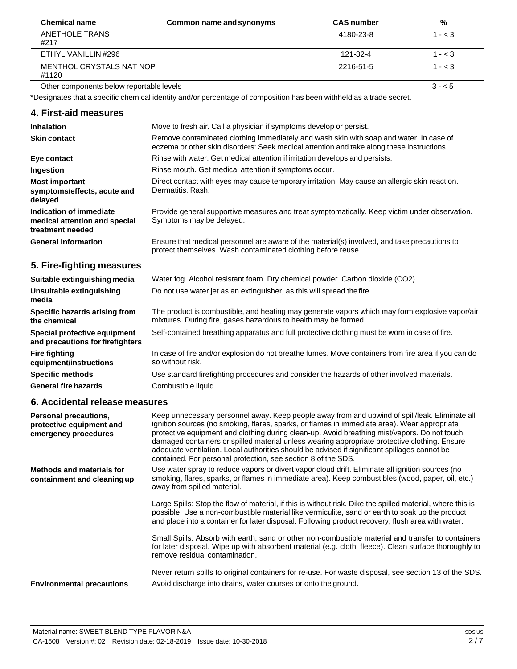| <b>Chemical name</b>                     | Common name and synonyms | <b>CAS number</b> | %         |
|------------------------------------------|--------------------------|-------------------|-----------|
| ANETHOLE TRANS<br>#217                   |                          | 4180-23-8         | $1 - < 3$ |
| ETHYL VANILLIN #296                      |                          | 121-32-4          | $1 - < 3$ |
| MENTHOL CRYSTALS NAT NOP<br>#1120        |                          | 2216-51-5         | $1 - < 3$ |
| Other components below reportable levels |                          |                   | $3 - 5$   |

\*Designates that a specific chemical identity and/or percentage of composition has been withheld as a trade secret.

### **4. First-aid measures**

| <b>Inhalation</b>                                                            | Move to fresh air. Call a physician if symptoms develop or persist.                                                                                                                 |
|------------------------------------------------------------------------------|-------------------------------------------------------------------------------------------------------------------------------------------------------------------------------------|
| <b>Skin contact</b>                                                          | Remove contaminated clothing immediately and wash skin with soap and water. In case of<br>eczema or other skin disorders: Seek medical attention and take along these instructions. |
| Eye contact                                                                  | Rinse with water. Get medical attention if irritation develops and persists.                                                                                                        |
| Ingestion                                                                    | Rinse mouth. Get medical attention if symptoms occur.                                                                                                                               |
| <b>Most important</b><br>symptoms/effects, acute and<br>delayed              | Direct contact with eyes may cause temporary irritation. May cause an allergic skin reaction.<br>Dermatitis, Rash.                                                                  |
| Indication of immediate<br>medical attention and special<br>treatment needed | Provide general supportive measures and treat symptomatically. Keep victim under observation.<br>Symptoms may be delayed.                                                           |
| <b>General information</b>                                                   | Ensure that medical personnel are aware of the material(s) involved, and take precautions to<br>protect themselves. Wash contaminated clothing before reuse.                        |
| 5. Fire-fighting measures                                                    |                                                                                                                                                                                     |
| Suitable extinguishing media                                                 | Water fog. Alcohol resistant foam. Dry chemical powder. Carbon dioxide (CO2).                                                                                                       |
| Unsuitable extinguishing<br>media                                            | Do not use water jet as an extinguisher, as this will spread the fire.                                                                                                              |
| Specific hazards arising from<br>the chemical                                | The product is combustible, and heating may generate vapors which may form explosive vapor/air<br>mixtures. During fire, gases hazardous to health may be formed.                   |
| Special protective equipment<br>and precautions for firefighters             | Self-contained breathing apparatus and full protective clothing must be worn in case of fire.                                                                                       |
| <b>Fire fighting</b><br>equipment/instructions                               | In case of fire and/or explosion do not breathe fumes. Move containers from fire area if you can do<br>so without risk.                                                             |
| <b>Specific methods</b>                                                      | Use standard firefighting procedures and consider the hazards of other involved materials.                                                                                          |
| <b>General fire hazards</b>                                                  | Combustible liquid.                                                                                                                                                                 |

# **6. Accidental release measures**

| Personal precautions,<br>protective equipment and<br>emergency procedures | Keep unnecessary personnel away. Keep people away from and upwind of spill/leak. Eliminate all<br>ignition sources (no smoking, flares, sparks, or flames in immediate area). Wear appropriate<br>protective equipment and clothing during clean-up. Avoid breathing mist/vapors. Do not touch<br>damaged containers or spilled material unless wearing appropriate protective clothing. Ensure<br>adequate ventilation. Local authorities should be advised if significant spillages cannot be<br>contained. For personal protection, see section 8 of the SDS. |
|---------------------------------------------------------------------------|------------------------------------------------------------------------------------------------------------------------------------------------------------------------------------------------------------------------------------------------------------------------------------------------------------------------------------------------------------------------------------------------------------------------------------------------------------------------------------------------------------------------------------------------------------------|
| Methods and materials for<br>containment and cleaning up                  | Use water spray to reduce vapors or divert vapor cloud drift. Eliminate all ignition sources (no<br>smoking, flares, sparks, or flames in immediate area). Keep combustibles (wood, paper, oil, etc.)<br>away from spilled material.                                                                                                                                                                                                                                                                                                                             |
|                                                                           | Large Spills: Stop the flow of material, if this is without risk. Dike the spilled material, where this is<br>possible. Use a non-combustible material like vermiculite, sand or earth to soak up the product<br>and place into a container for later disposal. Following product recovery, flush area with water.                                                                                                                                                                                                                                               |
|                                                                           | Small Spills: Absorb with earth, sand or other non-combustible material and transfer to containers<br>for later disposal. Wipe up with absorbent material (e.g. cloth, fleece). Clean surface thoroughly to<br>remove residual contamination.                                                                                                                                                                                                                                                                                                                    |
| <b>Environmental precautions</b>                                          | Never return spills to original containers for re-use. For waste disposal, see section 13 of the SDS.<br>Avoid discharge into drains, water courses or onto the ground.                                                                                                                                                                                                                                                                                                                                                                                          |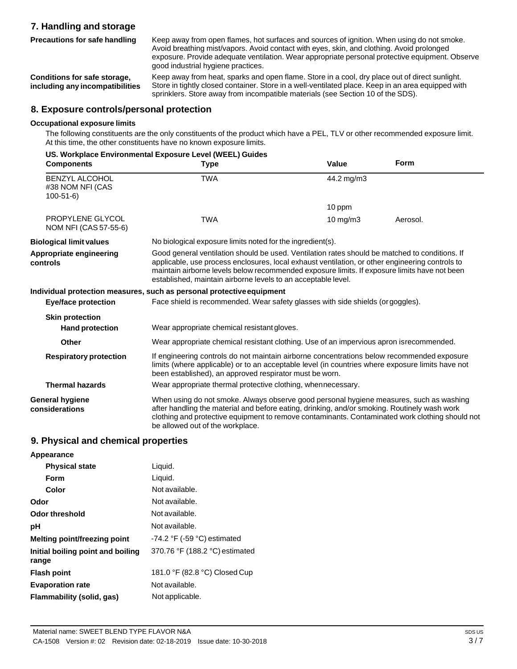# **7. Handling and storage Precautions for safe handling**

Keep away from open flames, hot surfaces and sources of ignition. When using do not smoke. Avoid breathing mist/vapors. Avoid contact with eyes, skin, and clothing. Avoid prolonged exposure. Provide adequate ventilation. Wear appropriate personal protective equipment. Observe good industrial hygiene practices.

**Conditions for safe storage, including any incompatibilities** Keep away from heat, sparks and open flame. Store in a cool, dry place out of direct sunlight. Store in tightly closed container. Store in a well-ventilated place. Keep in an area equipped with sprinklers. Store away from incompatible materials (see Section 10 of the SDS).

## **8. Exposure controls/personal protection**

#### **Occupational exposure limits**

The following constituents are the only constituents of the product which have a PEL, TLV or other recommended exposure limit. At this time, the other constituents have no known exposure limits.

|                                                             | US. Workplace Environmental Exposure Level (WEEL) Guides                                                                                                                                                                                                                                                                                                           |               |          |
|-------------------------------------------------------------|--------------------------------------------------------------------------------------------------------------------------------------------------------------------------------------------------------------------------------------------------------------------------------------------------------------------------------------------------------------------|---------------|----------|
| <b>Components</b>                                           | Type                                                                                                                                                                                                                                                                                                                                                               | Value         | Form     |
| <b>BENZYL ALCOHOL</b><br>#38 NOM NFI (CAS<br>$100 - 51 - 6$ | <b>TWA</b>                                                                                                                                                                                                                                                                                                                                                         | 44.2 mg/m3    |          |
|                                                             |                                                                                                                                                                                                                                                                                                                                                                    | 10 ppm        |          |
| PROPYLENE GLYCOL<br>NOM NFI (CAS 57-55-6)                   | TWA                                                                                                                                                                                                                                                                                                                                                                | $10$ mg/m $3$ | Aerosol. |
| <b>Biological limit values</b>                              | No biological exposure limits noted for the ingredient(s).                                                                                                                                                                                                                                                                                                         |               |          |
| Appropriate engineering<br>controls                         | Good general ventilation should be used. Ventilation rates should be matched to conditions. If<br>applicable, use process enclosures, local exhaust ventilation, or other engineering controls to<br>maintain airborne levels below recommended exposure limits. If exposure limits have not been<br>established, maintain airborne levels to an acceptable level. |               |          |
|                                                             | Individual protection measures, such as personal protective equipment                                                                                                                                                                                                                                                                                              |               |          |
| <b>Eye/face protection</b>                                  | Face shield is recommended. Wear safety glasses with side shields (or goggles).                                                                                                                                                                                                                                                                                    |               |          |
| <b>Skin protection</b>                                      |                                                                                                                                                                                                                                                                                                                                                                    |               |          |
| <b>Hand protection</b>                                      | Wear appropriate chemical resistant gloves.                                                                                                                                                                                                                                                                                                                        |               |          |
| Other                                                       | Wear appropriate chemical resistant clothing. Use of an impervious apron isrecommended.                                                                                                                                                                                                                                                                            |               |          |
| <b>Respiratory protection</b>                               | If engineering controls do not maintain airborne concentrations below recommended exposure<br>limits (where applicable) or to an acceptable level (in countries where exposure limits have not<br>been established), an approved respirator must be worn.                                                                                                          |               |          |
| <b>Thermal hazards</b>                                      | Wear appropriate thermal protective clothing, whennecessary.                                                                                                                                                                                                                                                                                                       |               |          |
| General hygiene<br>considerations                           | When using do not smoke. Always observe good personal hygiene measures, such as washing<br>after handling the material and before eating, drinking, and/or smoking. Routinely wash work<br>clothing and protective equipment to remove contaminants. Contaminated work clothing should not<br>be allowed out of the workplace.                                     |               |          |

### **9. Physical and chemical properties**

| Appearance                                 |                                               |
|--------------------------------------------|-----------------------------------------------|
| <b>Physical state</b>                      | Liquid.                                       |
| Form                                       | Liquid.                                       |
| Color                                      | Not available.                                |
| Odor                                       | Not available.                                |
| Odor threshold                             | Not available.                                |
| рH                                         | Not available.                                |
| Melting point/freezing point               | -74.2 $\degree$ F (-59 $\degree$ C) estimated |
| Initial boiling point and boiling<br>range | 370.76 °F (188.2 °C) estimated                |
| <b>Flash point</b>                         | 181.0 °F (82.8 °C) Closed Cup                 |
| <b>Evaporation rate</b>                    | Not available.                                |
| Flammability (solid, gas)                  | Not applicable.                               |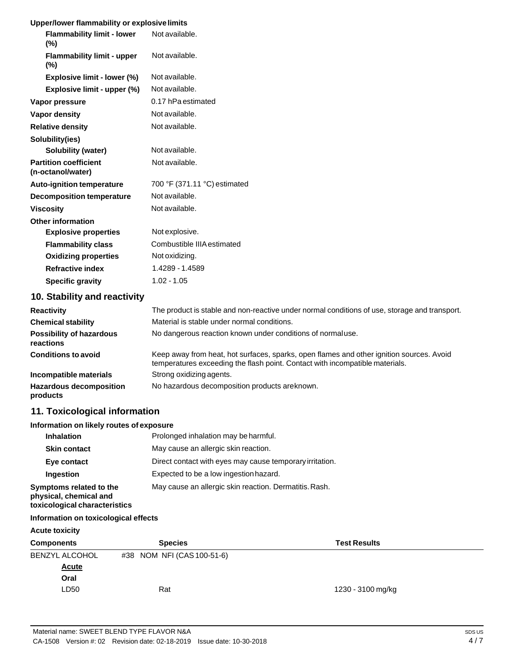# **Upper/lower flammability or explosive limits**

| opper/lower hammability or explosive limits       |                                                                                               |
|---------------------------------------------------|-----------------------------------------------------------------------------------------------|
| <b>Flammability limit - lower</b><br>(%)          | Not available.                                                                                |
| <b>Flammability limit - upper</b><br>$(\%)$       | Not available.                                                                                |
| Explosive limit - lower (%)                       | Not available.                                                                                |
| Explosive limit - upper (%)                       | Not available.                                                                                |
| Vapor pressure                                    | 0.17 hPa estimated                                                                            |
| <b>Vapor density</b>                              | Not available.                                                                                |
| <b>Relative density</b>                           | Not available.                                                                                |
| Solubility(ies)                                   |                                                                                               |
| <b>Solubility (water)</b>                         | Not available.                                                                                |
| <b>Partition coefficient</b><br>(n-octanol/water) | Not available.                                                                                |
| <b>Auto-ignition temperature</b>                  | 700 °F (371.11 °C) estimated                                                                  |
| <b>Decomposition temperature</b>                  | Not available.                                                                                |
| <b>Viscosity</b>                                  | Not available.                                                                                |
| <b>Other information</b>                          |                                                                                               |
| <b>Explosive properties</b>                       | Not explosive.                                                                                |
| <b>Flammability class</b>                         | Combustible IIIA estimated                                                                    |
| <b>Oxidizing properties</b>                       | Not oxidizing.                                                                                |
| <b>Refractive index</b>                           | 1.4289 - 1.4589                                                                               |
| <b>Specific gravity</b>                           | $1.02 - 1.05$                                                                                 |
| 10. Stability and reactivity                      |                                                                                               |
| <b>Reactivity</b>                                 | The product is stable and non-reactive under normal conditions of use, storage and transport. |
| <b>Chemical stability</b>                         | Material is stable under normal conditions.                                                   |

| .                                            |                                                                                                                                                                          |
|----------------------------------------------|--------------------------------------------------------------------------------------------------------------------------------------------------------------------------|
| <b>Chemical stability</b>                    | Material is stable under normal conditions.                                                                                                                              |
| <b>Possibility of hazardous</b><br>reactions | No dangerous reaction known under conditions of normal use.                                                                                                              |
| <b>Conditions to avoid</b>                   | Keep away from heat, hot surfaces, sparks, open flames and other ignition sources. Avoid<br>temperatures exceeding the flash point. Contact with incompatible materials. |
| Incompatible materials                       | Strong oxidizing agents.                                                                                                                                                 |
| <b>Hazardous decomposition</b><br>products   | No hazardous decomposition products are known.                                                                                                                           |

# **11. Toxicological information**

## **Information on likely routes of exposure**

| <b>Inhalation</b>                                                                  | Prolonged inhalation may be harmful.                     |
|------------------------------------------------------------------------------------|----------------------------------------------------------|
| <b>Skin contact</b>                                                                | May cause an allergic skin reaction.                     |
| Eye contact                                                                        | Direct contact with eyes may cause temporary irritation. |
| Ingestion                                                                          | Expected to be a low ingestion hazard.                   |
| Symptoms related to the<br>physical, chemical and<br>toxicological characteristics | May cause an allergic skin reaction. Dermatitis. Rash.   |

## **Information on toxicological effects**

# **Acute toxicity**

| <b>Components</b>     | <b>Species</b>             | <b>Test Results</b> |
|-----------------------|----------------------------|---------------------|
| <b>BENZYL ALCOHOL</b> | #38 NOM NFI (CAS 100-51-6) |                     |
| <b>Acute</b>          |                            |                     |
| Oral                  |                            |                     |
| LD50                  | Rat                        | 1230 - 3100 mg/kg   |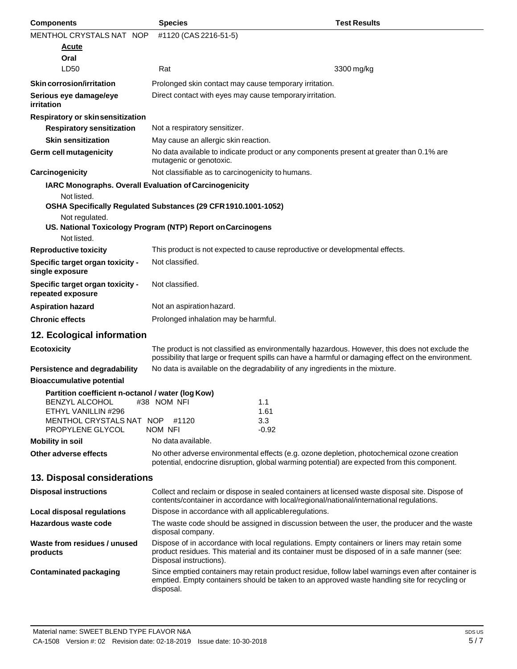| <b>Components</b>                                                   | <b>Species</b>                                                 | <b>Test Results</b>                                                                                                                                                                                   |
|---------------------------------------------------------------------|----------------------------------------------------------------|-------------------------------------------------------------------------------------------------------------------------------------------------------------------------------------------------------|
| MENTHOL CRYSTALS NAT NOP                                            | #1120 (CAS 2216-51-5)                                          |                                                                                                                                                                                                       |
| Acute                                                               |                                                                |                                                                                                                                                                                                       |
| Oral                                                                |                                                                |                                                                                                                                                                                                       |
| LD50                                                                | Rat                                                            | 3300 mg/kg                                                                                                                                                                                            |
| Skin corrosion/irritation                                           | Prolonged skin contact may cause temporary irritation.         |                                                                                                                                                                                                       |
| Serious eye damage/eye<br>irritation                                | Direct contact with eyes may cause temporary irritation.       |                                                                                                                                                                                                       |
| Respiratory or skinsensitization                                    |                                                                |                                                                                                                                                                                                       |
| <b>Respiratory sensitization</b>                                    | Not a respiratory sensitizer.                                  |                                                                                                                                                                                                       |
| <b>Skin sensitization</b>                                           | May cause an allergic skin reaction.                           |                                                                                                                                                                                                       |
| Germ cell mutagenicity                                              | mutagenic or genotoxic.                                        | No data available to indicate product or any components present at greater than 0.1% are                                                                                                              |
| Carcinogenicity                                                     | Not classifiable as to carcinogenicity to humans.              |                                                                                                                                                                                                       |
| IARC Monographs. Overall Evaluation of Carcinogenicity              |                                                                |                                                                                                                                                                                                       |
| Not listed.                                                         | OSHA Specifically Regulated Substances (29 CFR 1910.1001-1052) |                                                                                                                                                                                                       |
| Not regulated.                                                      | US. National Toxicology Program (NTP) Report on Carcinogens    |                                                                                                                                                                                                       |
| Not listed.                                                         |                                                                |                                                                                                                                                                                                       |
| <b>Reproductive toxicity</b>                                        |                                                                | This product is not expected to cause reproductive or developmental effects.                                                                                                                          |
| Specific target organ toxicity -<br>single exposure                 | Not classified.                                                |                                                                                                                                                                                                       |
| Specific target organ toxicity -<br>repeated exposure               | Not classified.                                                |                                                                                                                                                                                                       |
| <b>Aspiration hazard</b>                                            | Not an aspiration hazard.                                      |                                                                                                                                                                                                       |
| <b>Chronic effects</b>                                              | Prolonged inhalation may be harmful.                           |                                                                                                                                                                                                       |
| 12. Ecological information                                          |                                                                |                                                                                                                                                                                                       |
| <b>Ecotoxicity</b>                                                  |                                                                | The product is not classified as environmentally hazardous. However, this does not exclude the<br>possibility that large or frequent spills can have a harmful or damaging effect on the environment. |
| Persistence and degradability                                       |                                                                | No data is available on the degradability of any ingredients in the mixture.                                                                                                                          |
| <b>Bioaccumulative potential</b>                                    |                                                                |                                                                                                                                                                                                       |
| Partition coefficient n-octanol / water (log Kow)<br>BENZYL ALCOHOL | #38 NOM NFI                                                    | 1.1                                                                                                                                                                                                   |
| ETHYL VANILLIN #296<br>MENTHOL CRYSTALS NAT NOP #1120               |                                                                | 1.61<br>3.3                                                                                                                                                                                           |
| PROPYLENE GLYCOL                                                    | NOM NFI                                                        | $-0.92$                                                                                                                                                                                               |
| <b>Mobility in soil</b>                                             | No data available.                                             |                                                                                                                                                                                                       |
| Other adverse effects                                               |                                                                | No other adverse environmental effects (e.g. ozone depletion, photochemical ozone creation<br>potential, endocrine disruption, global warming potential) are expected from this component.            |
| 13. Disposal considerations                                         |                                                                |                                                                                                                                                                                                       |
| <b>Disposal instructions</b>                                        |                                                                | Collect and reclaim or dispose in sealed containers at licensed waste disposal site. Dispose of<br>contents/container in accordance with local/regional/national/international regulations.           |
| Local disposal regulations                                          | Dispose in accordance with all applicable regulations.         |                                                                                                                                                                                                       |
| Hazardous waste code                                                | disposal company.                                              | The waste code should be assigned in discussion between the user, the producer and the waste                                                                                                          |
| Waste from residues / unused<br>products                            | Disposal instructions).                                        | Dispose of in accordance with local regulations. Empty containers or liners may retain some<br>product residues. This material and its container must be disposed of in a safe manner (see:           |
| <b>Contaminated packaging</b>                                       | disposal.                                                      | Since emptied containers may retain product residue, follow label warnings even after container is<br>emptied. Empty containers should be taken to an approved waste handling site for recycling or   |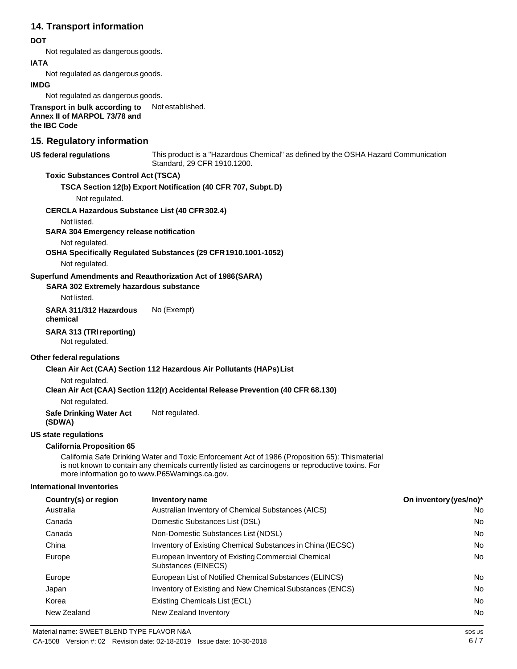## **14. Transport information**

### **DOT**

Not regulated as dangerous goods.

### **IATA**

Not regulated as dangerous goods.

#### **IMDG**

Not regulated as dangerous goods.

**Transport in bulk according to Annex II of MARPOL 73/78 and the IBC Code** Not established.

# **15. Regulatory information**

#### **US** federal regulations

This product is a "Hazardous Chemical" as defined by the OSHA Hazard Communication Standard, 29 CFR 1910.1200.

### **Toxic Substances Control Act (TSCA)**

**TSCA Section 12(b) Export Notification (40 CFR 707, Subpt.D)**

Not regulated.

#### **CERCLA Hazardous Substance List (40 CFR302.4)**

Not listed.

**SARA 304 Emergency release notification**

Not regulated.

**OSHA Specifically Regulated Substances (29 CFR1910.1001-1052)**

Not regulated.

### **Superfund Amendments and Reauthorization Act of 1986(SARA)**

**SARA 302 Extremely hazardous substance**

Not listed.

**SARA 311/312 Hazardous chemical** No (Exempt)

#### **SARA 313 (TRIreporting)**

Not regulated.

#### **Other federal regulations**

#### **Clean Air Act (CAA) Section 112 Hazardous Air Pollutants (HAPs)List**

Not regulated.

**Clean Air Act (CAA) Section 112(r) Accidental Release Prevention (40 CFR 68.130)**

Not regulated.

**Safe Drinking Water Act** Not regulated.

**(SDWA)**

#### **US state regulations**

### **California Proposition 65**

California Safe Drinking Water and Toxic Enforcement Act of 1986 (Proposition 65): Thismaterial is not known to contain any chemicals currently listed as carcinogens or reproductive toxins. For more information go to [www.P65Warnings.ca.gov.](http://www.p65warnings.ca.gov/)

#### **International Inventories**

| Country(s) or region | Inventory name                                                            | On inventory (yes/no)* |
|----------------------|---------------------------------------------------------------------------|------------------------|
| Australia            | Australian Inventory of Chemical Substances (AICS)                        | No                     |
| Canada               | Domestic Substances List (DSL)                                            | No                     |
| Canada               | Non-Domestic Substances List (NDSL)                                       | No                     |
| China                | Inventory of Existing Chemical Substances in China (IECSC)                | No                     |
| Europe               | European Inventory of Existing Commercial Chemical<br>Substances (EINECS) | <b>No</b>              |
| Europe               | European List of Notified Chemical Substances (ELINCS)                    | No                     |
| Japan                | Inventory of Existing and New Chemical Substances (ENCS)                  | No                     |
| Korea                | Existing Chemicals List (ECL)                                             | No                     |
| New Zealand          | New Zealand Inventory                                                     | No                     |